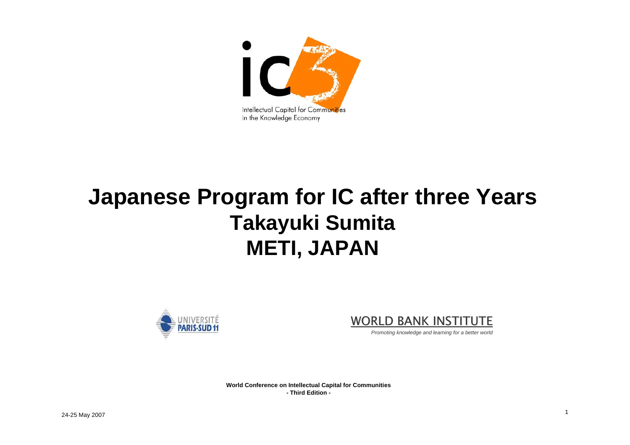

### **Japanese Program for IC after three Years Takayuki Sumita METI, JAPAN**





*Promoting knowledge and learning for a better world*

**World Conference on Intellectual Capital for Communities - Third Edition -**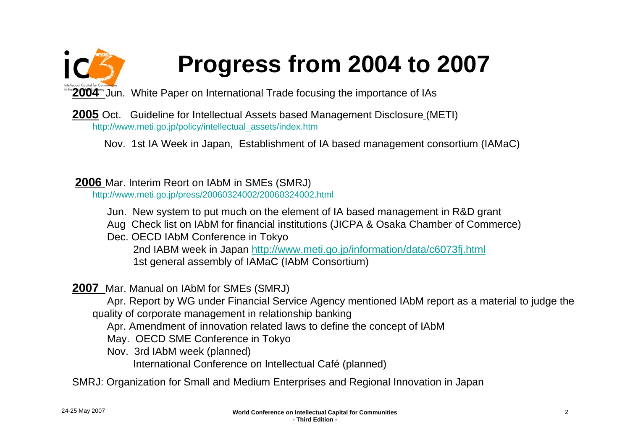# **Progress from 2004 to 2007**

**2004** Jun. White Paper on International Trade focusing the importance of IAs

**2005** Oct. Guideline for Intellectual Assets based Management Disclosure (METI) [http://www.meti.go.jp/policy/intellectual\\_assets/index.htm](http://www.meti.go.jp/policy/intellectual_assets/index.htm)

Nov. 1st IA Week in Japan, Establishment of IA based management consortium (IAMaC)

**2006** Mar. Interim Reort on IAbM in SMEs (SMRJ) <http://www.meti.go.jp/press/20060324002/20060324002.html>

Jun. New system to put much on the element of IA based management in R&D grant

Aug Check list on IAbM for financial institutions (JICPA & Osaka Chamber of Commerce)

Dec. OECD IAbM Conference in Tokyo 2nd IABM week in Japan<http://www.meti.go.jp/information/data/c6073fj.html> 1st general assembly of IAMaC (IAbM Consortium)

#### **2007** Mar. Manual on IAbM for SMEs (SMRJ)

Apr. Report by WG under Financial Service Agency mentioned IAbM report as a material to judge the quality of corporate management in relationship banking

Apr. Amendment of innovation related laws to define the concept of IAbM

May. OECD SME Conference in Tokyo

Nov. 3rd IAbM week (planned)

International Conference on Intellectual Café (planned)

SMRJ: Organization for Small and Medium Enterprises and Regional Innovation in Japan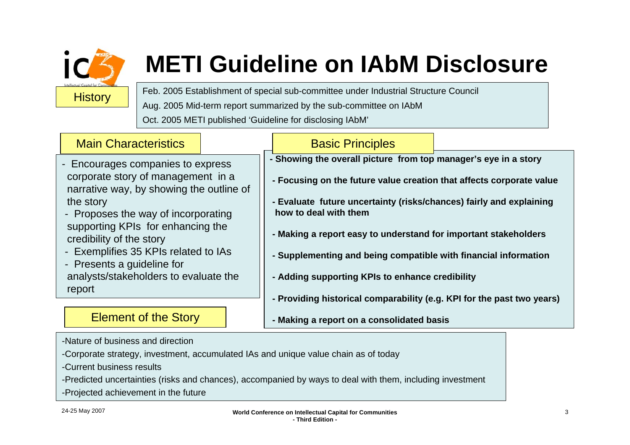

# **METI Guideline on IAbM Disclosure**

Feb. 2005 Establishment of special sub-committee under Industrial Structure Council Aug. 2005 Mid-term report summarized by the sub-committee on IAbM

Oct. 2005 METI published 'Guideline for disclosing IAbM'

#### **- Showing the overall picture from top manager's eye in a story - Focusing on the future value creation that affects corporate value - Evaluate future uncertainty (risks/chances) fairly and explaining how to deal with them- Making a report easy to understand for important stakeholders - Supplementing and being compatible with financial information** Basic Principles **Main Characteristics** - Encourages companies to express corporate story of management in a narrative way, by showing the outline of the story - Proposes the way of incorporating supporting KPIs for enhancing the credibility of the story - Exemplifies 35 KPIs related to IAs - Presents a guideline for

- **- Adding supporting KPIs to enhance credibility**
	- **- Providing historical comparability (e.g. KPI for the past two years)**
	- **- Making a report on a consolidated basis**

-Nature of business and direction

Element of the Story

analysts/stakeholders to evaluate the

- -Corporate strategy, investment, accumulated IAs and unique value chain as of today
- -Current business results
- -Predicted uncertainties (risks and chances), accompanied by ways to deal with them, including investment
- -Projected achievement in the future

report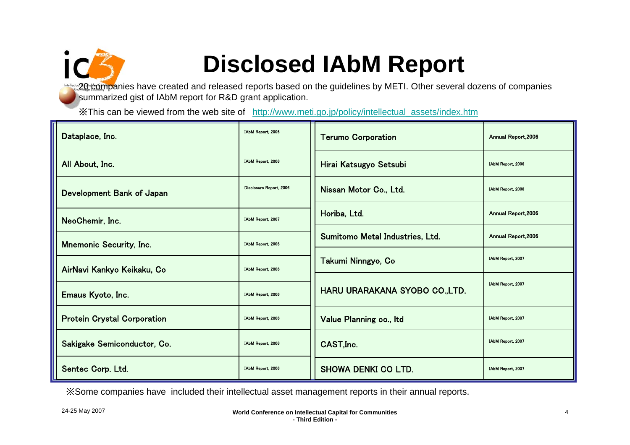

### **Disclosed IAbM Report**

20 companies have created and released reports based on the guidelines by METI. Other several dozens of companies summarized gist of IAbM report for R&D grant application.

※This can be viewed from the web site of [http://www.meti.go.jp/policy/intellectual\\_assets/index.htm](http://www.meti.go.jp/policy/intellectual_assets/index.htm)

| Dataplace, Inc.                    | IAbM Report, 2006       | <b>Terumo Corporation</b>       | Annual Report, 2006 |
|------------------------------------|-------------------------|---------------------------------|---------------------|
| All About, Inc.                    | IAbM Report, 2006       | Hirai Katsugyo Setsubi          | IAbM Report, 2006   |
| Development Bank of Japan          | Disclosure Report, 2006 | Nissan Motor Co., Ltd.          | IAbM Report, 2006   |
| NeoChemir, Inc.                    | IAbM Report, 2007       | Horiba, Ltd.                    | Annual Report, 2006 |
| <b>Mnemonic Security, Inc.</b>     | IAbM Report, 2006       | Sumitomo Metal Industries, Ltd. | Annual Report, 2006 |
| AirNavi Kankyo Keikaku, Co         | IAbM Report, 2006       | Takumi Ninngyo, Co              | IAbM Report, 2007   |
| Emaus Kyoto, Inc.                  | IAbM Report, 2006       | HARU URARAKANA SYOBO CO.,LTD.   | IAbM Report, 2007   |
| <b>Protein Crystal Corporation</b> | IAbM Report, 2006       | Value Planning co., Itd         | IAbM Report, 2007   |
| Sakigake Semiconductor, Co.        | IAbM Report, 2006       | CAST, Inc.                      | IAbM Report, 2007   |
| Sentec Corp. Ltd.                  | IAbM Report, 2006       | <b>SHOWA DENKI CO LTD.</b>      | IAbM Report, 2007   |

※Some companies have included their intellectual asset management reports in their annual reports.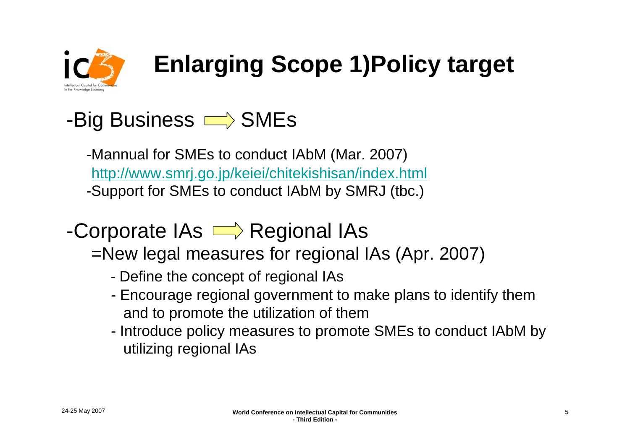

# **Enlarging Scope 1)Policy target**

### -Big Business  $\implies$  SMEs

-Mannual for SMEs to conduct IAbM (Mar. 2007) <http://www.smrj.go.jp/keiei/chitekishisan/index.html> -Support for SMEs to conduct IAbM by SMRJ (tbc.)

### -Corporate  $\overline{AS} \longrightarrow$  Regional IAs

#### =New legal measures for regional IAs (Apr. 2007)

- -Define the concept of regional IAs
- - Encourage regional government to make plans to identify them and to promote the utilization of them
- - Introduce policy measures to promote SMEs to conduct IAbM by utilizing regional IAs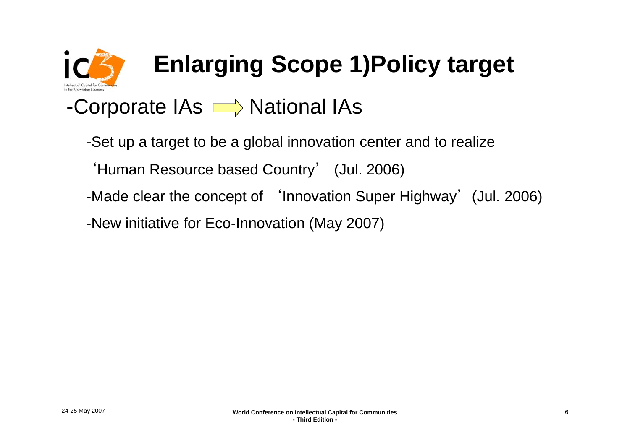

# **Enlarging Scope 1)Policy target**

### -Corporate  $\overline{AS} \longrightarrow$  National IAs

- -Set up a target to be a global innovation center and to realize
	- 'Human Resource based Country' (Jul. 2006)
- -Made clear the concept of 'Innovation Super Highway' (Jul. 2006)
- -New initiative for Eco-Innovation (May 2007)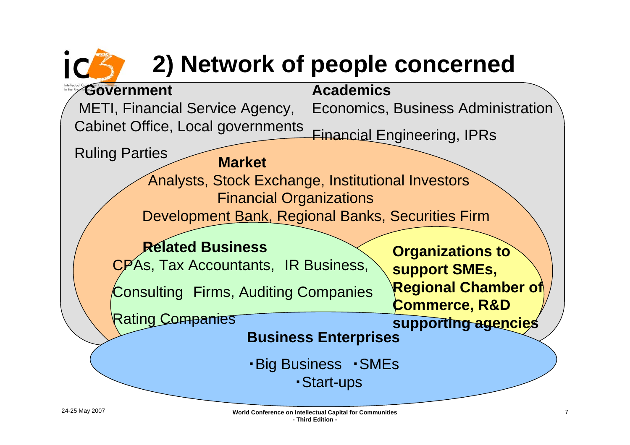## **2) Network of people concerned**



24-25 May 2007 **World Conference on Intellectual Capital for Communities - Third Edition -**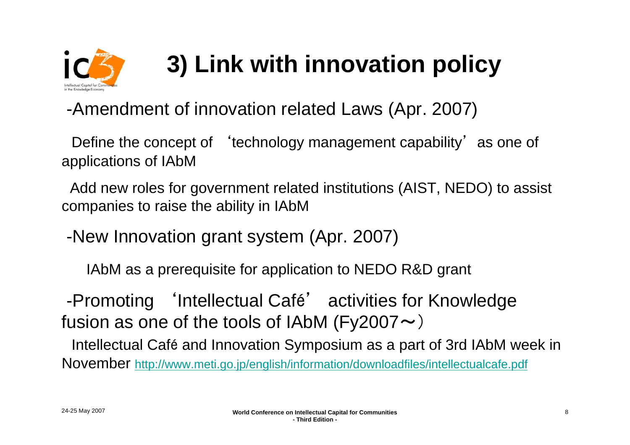

# **3) Link with innovation policy**

#### -Amendment of innovation related Laws (Apr. 2007)

Define the concept of 'technology management capability' as one of applications of IAbM

Add new roles for government related institutions (AIST, NEDO) to assist companies to raise the ability in IAbM

-New Innovation grant system (Apr. 2007)

IAbM as a prerequisite for application to NEDO R&D grant

-Promoting 'Intellectual Café' activities for Knowledge fusion as one of the tools of IAbM (Fy2007 $\sim$ )

Intellectual Café and Innovation Symposium as a part of 3rd IAbM week in November<http://www.meti.go.jp/english/information/downloadfiles/intellectualcafe.pdf>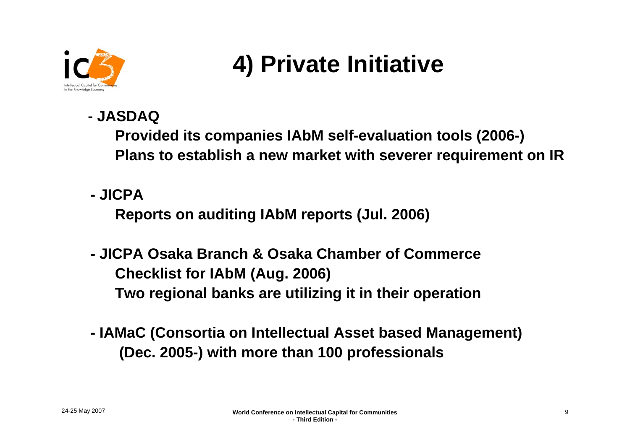

### **4) Private Initiative**

**- JASDAQ** 

**Provided its companies IAbM self-evaluation tools (2006-) Plans to establish a new market with severer requirement on IR**

**- JICPA** 

**Reports on auditing IAbM reports (Jul. 2006)**

- **- JICPA Osaka Branch & Osaka Chamber of CommerceChecklist for IAbM (Aug. 2006) Two regional banks are utilizing it in their operation**
- **- IAMaC (Consortia on Intellectual Asset based Management) (Dec. 2005-) with more than 100 professionals**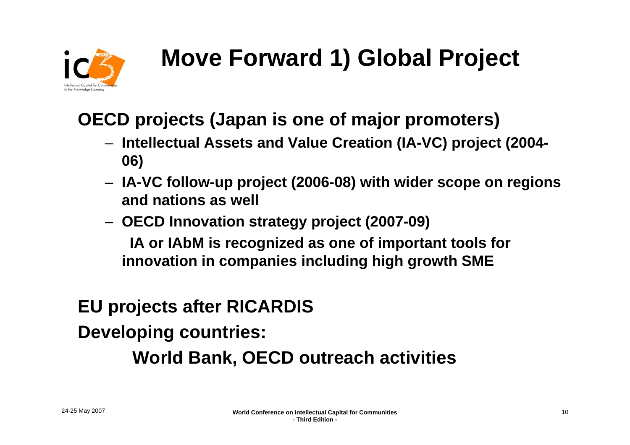

# **Move Forward 1) Global Project**

### **OECD projects (Japan is one of major promoters)**

- **Intellectual Assets and Value Creation (IA-VC) project (2004- 06)**
- **IA-VC follow-up project (2006-08) with wider scope on regions and nations as well**
- **OECD Innovation strategy project (2007-09) IA or IAbM is recognized as one of important tools for innovation in companies including high growth SME**

### **EU projects after RICARDIS**

**Developing countries:**

#### **World Bank, OECD outreach activities**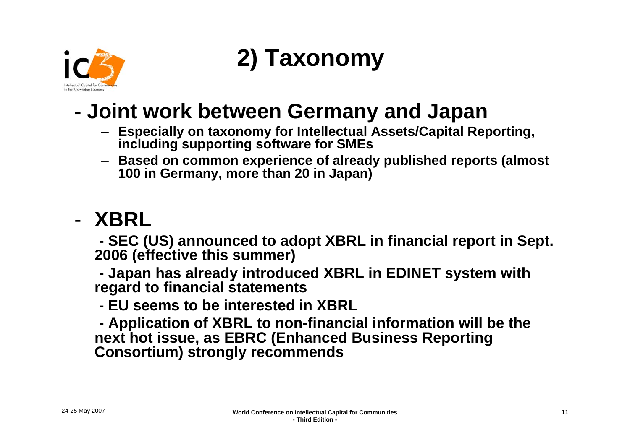

### **2) Taxonomy**

### **Joint work between Germany and Japan**

- **Especially on taxonomy for Intellectual Assets/Capital Reporting, including supporting software for SMEs**
- **Based on common experience of already published reports (almost 100 in Germany, more than 20 in Japan)**

### - **XBRL**

**- SEC (US) announced to adopt XBRL in financial report in Sept. 2006 (effective this summer)**

**- Japan has already introduced XBRL in EDINET system with regard to financial statements**

**- EU seems to be interested in XBRL**

**- Application of XBRL to non-financial information will be the next hot issue, as EBRC (Enhanced Business Reporting Consortium) strongly recommends**